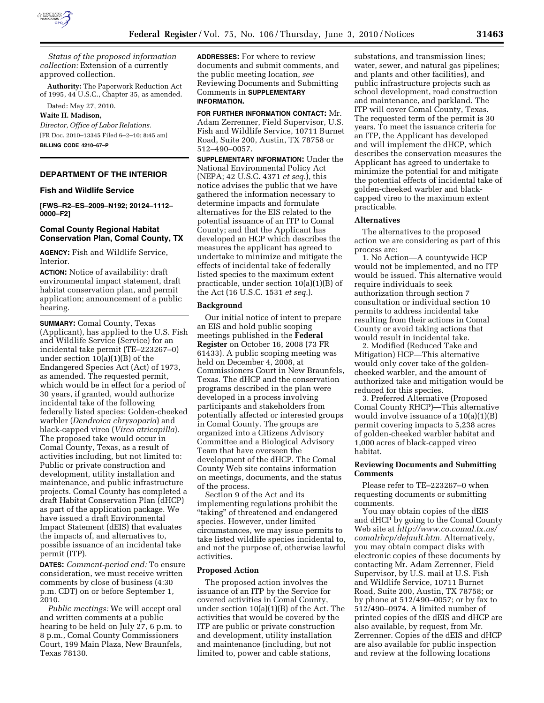

*Status of the proposed information collection:* Extension of a currently approved collection.

**Authority:** The Paperwork Reduction Act of 1995, 44 U.S.C., Chapter 35, as amended.

Dated: May 27, 2010.

# **Waite H. Madison,**

*Director, Office of Labor Relations.*  [FR Doc. 2010–13345 Filed 6–2–10; 8:45 am] **BILLING CODE 4210–67–P** 

#### **DEPARTMENT OF THE INTERIOR**

## **Fish and Wildlife Service**

**[FWS–R2–ES–2009–N192; 20124–1112– 0000–F2]** 

# **Comal County Regional Habitat Conservation Plan, Comal County, TX**

**AGENCY:** Fish and Wildlife Service, Interior.

**ACTION:** Notice of availability: draft environmental impact statement, draft habitat conservation plan, and permit application; announcement of a public hearing.

**SUMMARY:** Comal County, Texas (Applicant), has applied to the U.S. Fish and Wildlife Service (Service) for an incidental take permit (TE–223267–0) under section 10(a)(1)(B) of the Endangered Species Act (Act) of 1973, as amended. The requested permit, which would be in effect for a period of 30 years, if granted, would authorize incidental take of the following federally listed species: Golden-cheeked warbler (*Dendroica chrysoparia*) and black-capped vireo (*Vireo atricapilla*). The proposed take would occur in Comal County, Texas, as a result of activities including, but not limited to: Public or private construction and development, utility installation and maintenance, and public infrastructure projects. Comal County has completed a draft Habitat Conservation Plan (dHCP) as part of the application package. We have issued a draft Environmental Impact Statement (dEIS) that evaluates the impacts of, and alternatives to, possible issuance of an incidental take permit (ITP).

**DATES:** *Comment-period end:* To ensure consideration, we must receive written comments by close of business (4:30 p.m. CDT) on or before September 1, 2010.

*Public meetings:* We will accept oral and written comments at a public hearing to be held on July 27, 6 p.m. to 8 p.m., Comal County Commissioners Court, 199 Main Plaza, New Braunfels, Texas 78130.

**ADDRESSES:** For where to review documents and submit comments, and the public meeting location, *see*  Reviewing Documents and Submitting Comments in **SUPPLEMENTARY INFORMATION.** 

**FOR FURTHER INFORMATION CONTACT:** Mr. Adam Zerrenner, Field Supervisor, U.S. Fish and Wildlife Service, 10711 Burnet Road, Suite 200, Austin, TX 78758 or 512–490–0057.

**SUPPLEMENTARY INFORMATION:** Under the National Environmental Policy Act (NEPA; 42 U.S.C. 4371 *et seq.*), this notice advises the public that we have gathered the information necessary to determine impacts and formulate alternatives for the EIS related to the potential issuance of an ITP to Comal County; and that the Applicant has developed an HCP which describes the measures the applicant has agreed to undertake to minimize and mitigate the effects of incidental take of federally listed species to the maximum extent practicable, under section 10(a)(1)(B) of the Act (16 U.S.C. 1531 *et seq.*).

#### **Background**

Our initial notice of intent to prepare an EIS and hold public scoping meetings published in the **Federal Register** on October 16, 2008 (73 FR 61433). A public scoping meeting was held on December 4, 2008, at Commissioners Court in New Braunfels, Texas. The dHCP and the conservation programs described in the plan were developed in a process involving participants and stakeholders from potentially affected or interested groups in Comal County. The groups are organized into a Citizens Advisory Committee and a Biological Advisory Team that have overseen the development of the dHCP. The Comal County Web site contains information on meetings, documents, and the status of the process.

Section 9 of the Act and its implementing regulations prohibit the ''taking'' of threatened and endangered species. However, under limited circumstances, we may issue permits to take listed wildlife species incidental to, and not the purpose of, otherwise lawful activities.

#### **Proposed Action**

The proposed action involves the issuance of an ITP by the Service for covered activities in Comal County, under section 10(a)(1)(B) of the Act. The activities that would be covered by the ITP are public or private construction and development, utility installation and maintenance (including, but not limited to, power and cable stations,

substations, and transmission lines; water, sewer, and natural gas pipelines; and plants and other facilities), and public infrastructure projects such as school development, road construction and maintenance, and parkland. The ITP will cover Comal County, Texas. The requested term of the permit is 30 years. To meet the issuance criteria for an ITP, the Applicant has developed and will implement the dHCP, which describes the conservation measures the Applicant has agreed to undertake to minimize the potential for and mitigate the potential effects of incidental take of golden-cheeked warbler and blackcapped vireo to the maximum extent practicable.

### **Alternatives**

The alternatives to the proposed action we are considering as part of this process are:

1. No Action—A countywide HCP would not be implemented, and no ITP would be issued. This alternative would require individuals to seek authorization through section 7 consultation or individual section 10 permits to address incidental take resulting from their actions in Comal County or avoid taking actions that would result in incidental take.

2. Modified (Reduced Take and Mitigation) HCP—This alternative would only cover take of the goldencheeked warbler, and the amount of authorized take and mitigation would be reduced for this species.

3. Preferred Alternative (Proposed Comal County RHCP)—This alternative would involve issuance of a 10(a)(1)(B) permit covering impacts to 5,238 acres of golden-cheeked warbler habitat and 1,000 acres of black-capped vireo habitat.

#### **Reviewing Documents and Submitting Comments**

Please refer to TE–223267–0 when requesting documents or submitting comments.

You may obtain copies of the dEIS and dHCP by going to the Comal County Web site at *http://www.co.comal.tx.us/ comalrhcp/default.htm.* Alternatively, you may obtain compact disks with electronic copies of these documents by contacting Mr. Adam Zerrenner, Field Supervisor, by U.S. mail at U.S. Fish and Wildlife Service, 10711 Burnet Road, Suite 200, Austin, TX 78758; or by phone at 512/490–0057; or by fax to 512/490–0974. A limited number of printed copies of the dEIS and dHCP are also available, by request, from Mr. Zerrenner. Copies of the dEIS and dHCP are also available for public inspection and review at the following locations